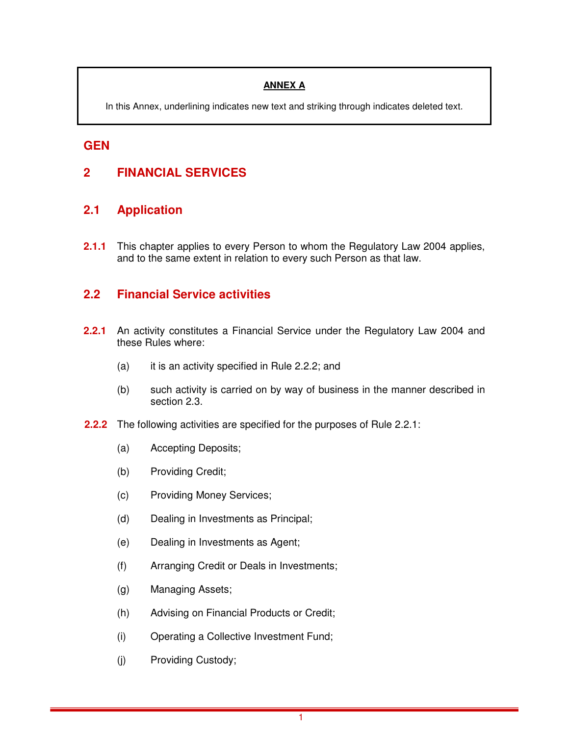### **ANNEX A**

In this Annex, underlining indicates new text and striking through indicates deleted text.

## **GEN**

## **2 FINANCIAL SERVICES**

### **2.1 Application**

**2.1.1** This chapter applies to every Person to whom the Regulatory Law 2004 applies, and to the same extent in relation to every such Person as that law.

### **2.2 Financial Service activities**

- **2.2.1** An activity constitutes a Financial Service under the Regulatory Law 2004 and these Rules where:
	- (a) it is an activity specified in Rule 2.2.2; and
	- (b) such activity is carried on by way of business in the manner described in section 2.3.
- **2.2.2** The following activities are specified for the purposes of Rule 2.2.1:
	- (a) Accepting Deposits;
	- (b) Providing Credit;
	- (c) Providing Money Services;
	- (d) Dealing in Investments as Principal;
	- (e) Dealing in Investments as Agent;
	- (f) Arranging Credit or Deals in Investments;
	- (g) Managing Assets;
	- (h) Advising on Financial Products or Credit;
	- (i) Operating a Collective Investment Fund;
	- (j) Providing Custody;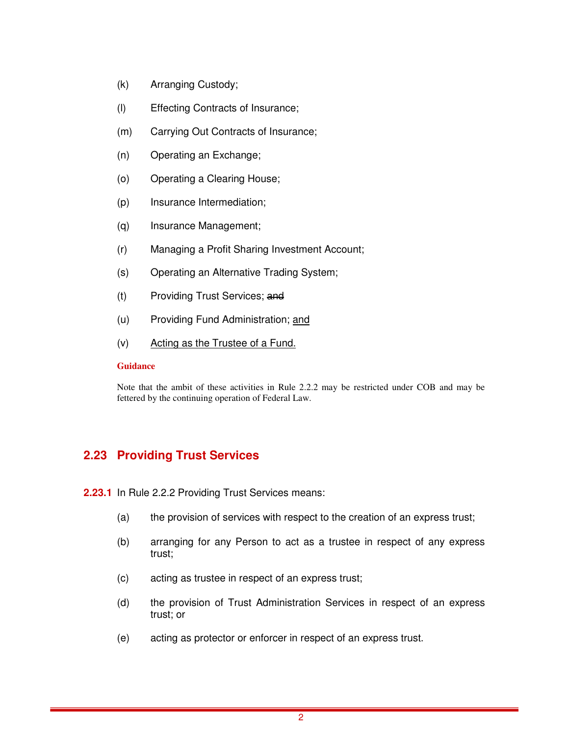- (k) Arranging Custody;
- (l) Effecting Contracts of Insurance;
- (m) Carrying Out Contracts of Insurance;
- (n) Operating an Exchange;
- (o) Operating a Clearing House;
- (p) Insurance Intermediation;
- (q) Insurance Management;
- (r) Managing a Profit Sharing Investment Account;
- (s) Operating an Alternative Trading System;
- (t) Providing Trust Services; and
- (u) Providing Fund Administration; and
- (v) Acting as the Trustee of a Fund.

#### **Guidance**

Note that the ambit of these activities in Rule 2.2.2 may be restricted under COB and may be fettered by the continuing operation of Federal Law.

## **2.23 Providing Trust Services**

**2.23.1** In Rule 2.2.2 Providing Trust Services means:

- (a) the provision of services with respect to the creation of an express trust;
- (b) arranging for any Person to act as a trustee in respect of any express trust;
- (c) acting as trustee in respect of an express trust;
- (d) the provision of Trust Administration Services in respect of an express trust; or
- (e) acting as protector or enforcer in respect of an express trust.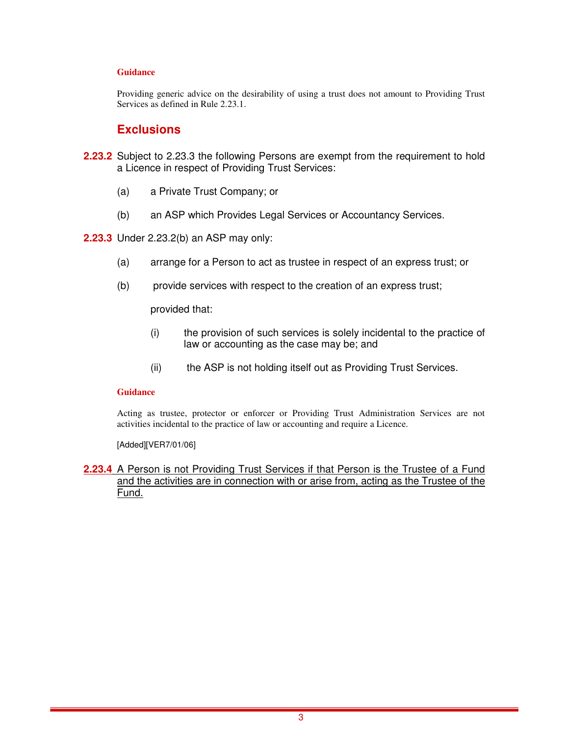#### **Guidance**

Providing generic advice on the desirability of using a trust does not amount to Providing Trust Services as defined in Rule 2.23.1.

### **Exclusions**

- **2.23.2** Subject to 2.23.3 the following Persons are exempt from the requirement to hold a Licence in respect of Providing Trust Services:
	- (a) a Private Trust Company; or
	- (b) an ASP which Provides Legal Services or Accountancy Services.
- **2.23.3** Under 2.23.2(b) an ASP may only:
	- (a) arrange for a Person to act as trustee in respect of an express trust; or
	- (b) provide services with respect to the creation of an express trust;

provided that:

- (i) the provision of such services is solely incidental to the practice of law or accounting as the case may be; and
- (ii) the ASP is not holding itself out as Providing Trust Services.

#### **Guidance**

Acting as trustee, protector or enforcer or Providing Trust Administration Services are not activities incidental to the practice of law or accounting and require a Licence.

[Added][VER7/01/06]

#### **2.23.4** A Person is not Providing Trust Services if that Person is the Trustee of a Fund and the activities are in connection with or arise from, acting as the Trustee of the Fund.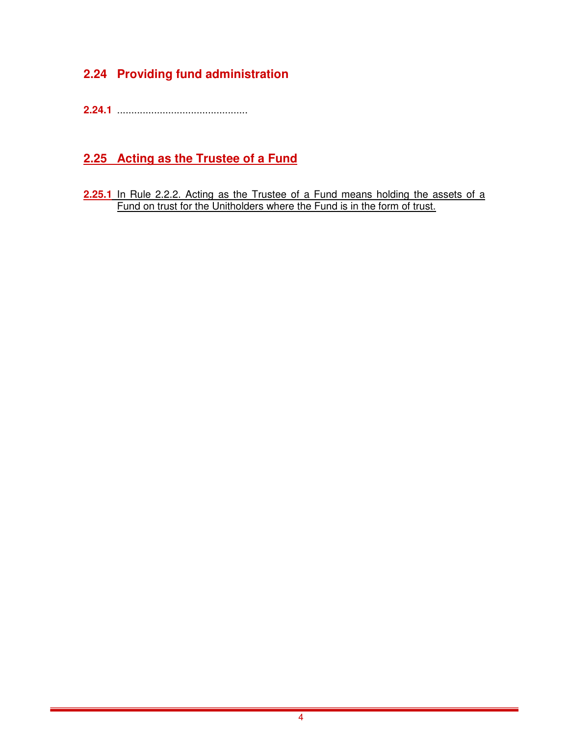## **2.24 Providing fund administration**

**2.24.1** ..............................................

## **2.25 Acting as the Trustee of a Fund**

**2.25.1** In Rule 2.2.2. Acting as the Trustee of a Fund means holding the assets of a Fund on trust for the Unitholders where the Fund is in the form of trust.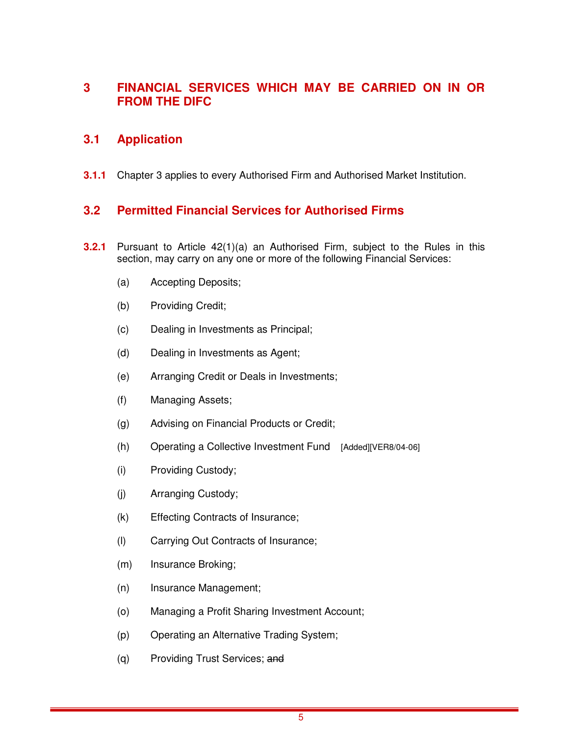## **3 FINANCIAL SERVICES WHICH MAY BE CARRIED ON IN OR FROM THE DIFC**

### **3.1 Application**

**3.1.1** Chapter 3 applies to every Authorised Firm and Authorised Market Institution.

## **3.2 Permitted Financial Services for Authorised Firms**

- **3.2.1** Pursuant to Article 42(1)(a) an Authorised Firm, subject to the Rules in this section, may carry on any one or more of the following Financial Services:
	- (a) Accepting Deposits;
	- (b) Providing Credit;
	- (c) Dealing in Investments as Principal;
	- (d) Dealing in Investments as Agent;
	- (e) Arranging Credit or Deals in Investments;
	- (f) Managing Assets;
	- (g) Advising on Financial Products or Credit;
	- (h) Operating a Collective Investment Fund [Added][VER8/04-06]
	- (i) Providing Custody;
	- (j) Arranging Custody;
	- (k) Effecting Contracts of Insurance;
	- (l) Carrying Out Contracts of Insurance;
	- (m) Insurance Broking;
	- (n) Insurance Management;
	- (o) Managing a Profit Sharing Investment Account;
	- (p) Operating an Alternative Trading System;
	- (q) Providing Trust Services; and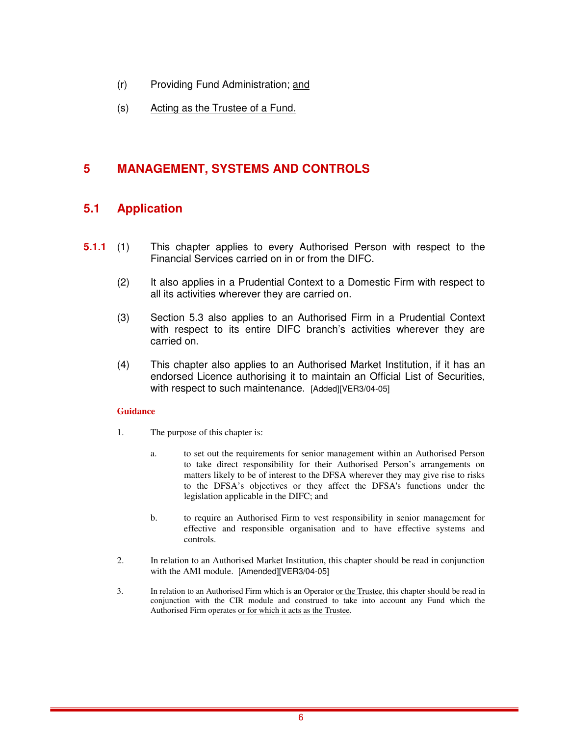- (r) Providing Fund Administration; and
- (s) Acting as the Trustee of a Fund.

## **5 MANAGEMENT, SYSTEMS AND CONTROLS**

## **5.1 Application**

- **5.1.1** (1) This chapter applies to every Authorised Person with respect to the Financial Services carried on in or from the DIFC.
	- (2) It also applies in a Prudential Context to a Domestic Firm with respect to all its activities wherever they are carried on.
	- (3) Section 5.3 also applies to an Authorised Firm in a Prudential Context with respect to its entire DIFC branch's activities wherever they are carried on.
	- (4) This chapter also applies to an Authorised Market Institution, if it has an endorsed Licence authorising it to maintain an Official List of Securities, with respect to such maintenance. [Added][VER3/04-05]

#### **Guidance**

- 1. The purpose of this chapter is:
	- a. to set out the requirements for senior management within an Authorised Person to take direct responsibility for their Authorised Person's arrangements on matters likely to be of interest to the DFSA wherever they may give rise to risks to the DFSA's objectives or they affect the DFSA's functions under the legislation applicable in the DIFC; and
	- b. to require an Authorised Firm to vest responsibility in senior management for effective and responsible organisation and to have effective systems and controls.
- 2. In relation to an Authorised Market Institution, this chapter should be read in conjunction with the AMI module. [Amended][VER3/04-05]
- 3. In relation to an Authorised Firm which is an Operator or the Trustee, this chapter should be read in conjunction with the CIR module and construed to take into account any Fund which the Authorised Firm operates or for which it acts as the Trustee.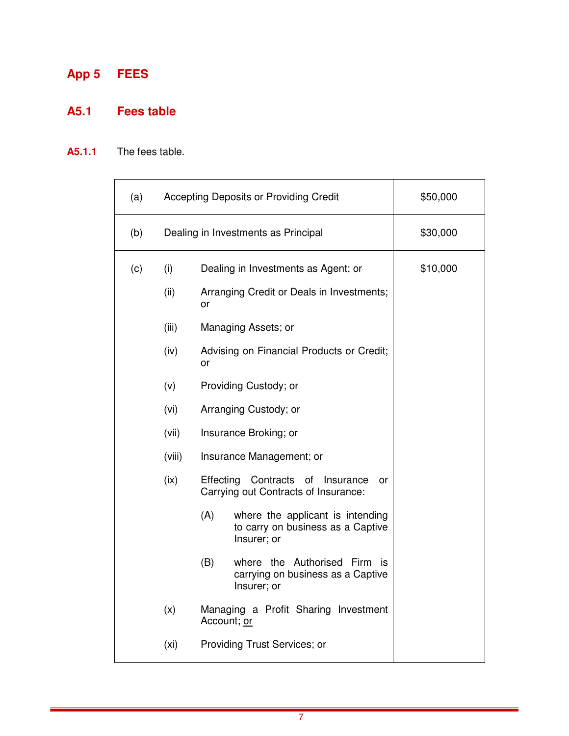# **App 5 FEES**

## **A5.1 Fees table**

## **A5.1.1** The fees table.

| (a) |                   | Accepting Deposits or Providing Credit                                                      | \$50,000 |
|-----|-------------------|---------------------------------------------------------------------------------------------|----------|
| (b) |                   | Dealing in Investments as Principal                                                         | \$30,000 |
| (c) | (i)               | Dealing in Investments as Agent; or                                                         | \$10,000 |
|     | (ii)              | Arranging Credit or Deals in Investments;<br>or                                             |          |
|     | (iii)             | Managing Assets; or                                                                         |          |
|     | (iv)              | Advising on Financial Products or Credit;<br>or                                             |          |
|     | (v)               | Providing Custody; or                                                                       |          |
|     | (vi)              | Arranging Custody; or                                                                       |          |
|     | (vii)             | Insurance Broking; or                                                                       |          |
|     | (viii)            | Insurance Management; or                                                                    |          |
|     | (ix)              | Effecting Contracts of Insurance<br>or<br>Carrying out Contracts of Insurance:              |          |
|     |                   | (A)<br>where the applicant is intending<br>to carry on business as a Captive<br>Insurer; or |          |
|     |                   | (B)<br>where the Authorised Firm is<br>carrying on business as a Captive<br>Insurer; or     |          |
|     | (x)               | Managing a Profit Sharing Investment<br>Account; or                                         |          |
|     | (x <sub>i</sub> ) | Providing Trust Services; or                                                                |          |